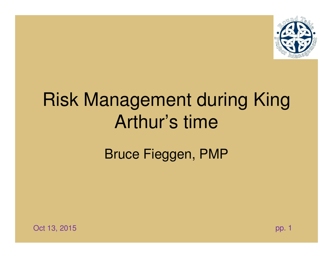

# Risk Management during King Arthur's time

Bruce Fieggen, PMP



 $\mathsf B$  , the contract of the contract of the contract of the contract of the contract of the contract of the contract of the contract of the contract of the contract of the contract of the contract of the contract of the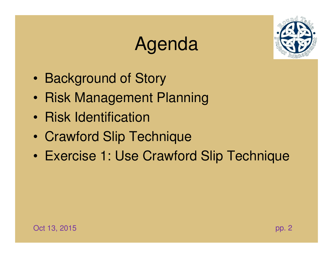# Agenda



- $\bullet$ Background of Story
- $\bullet$ Risk Management Planning
- $\bullet$ Risk Identification
- •Crawford Slip Technique
- •Exercise 1: Use Crawford Slip Technique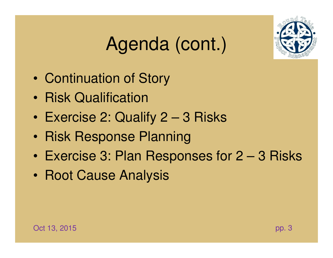# Agenda (cont.)



- $\bullet$ Continuation of Story
- $\bullet$ Risk Qualification
- $\bullet$ Exercise 2: Qualify 2 – 3 Risks
- •Risk Response Planning
- •Exercise 3: Plan Responses for 2 – 3 Risks
- •Root Cause Analysis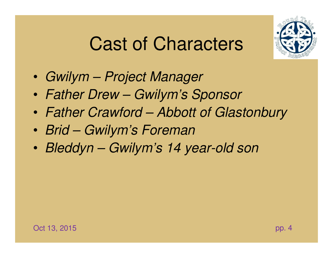#### Cast of Characters



- $\bullet$ Gwilym – Project Manager
- •Father Drew – Gwilym's Sponsor
- $\bullet$ Father Crawford – Abbott of Glastonbury
- $\bullet$ Brid – Gwilym's Foreman
- •Bleddyn – Gwilym's 14 year-old son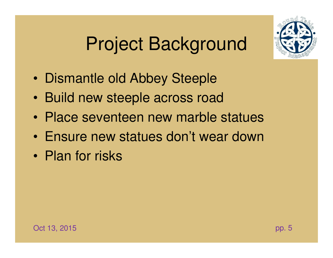### Project Background



- $\bullet$ Dismantle old Abbey Steeple
- $\bullet$ Build new steeple across road
- $\bullet$ Place seventeen new marble statues
- •Ensure new statues don't wear down
- •Plan for risks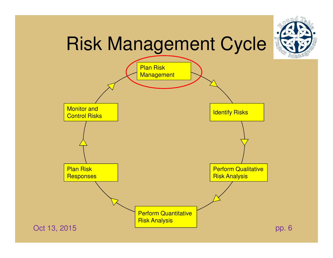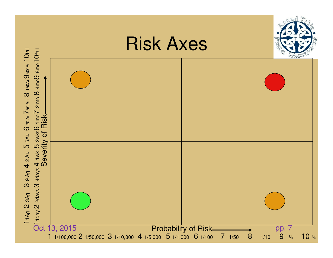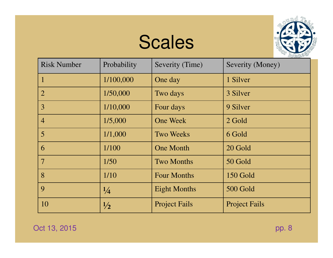#### Scales



| <b>Risk Number</b> | Probability   | Severity (Time)      | Severity (Money)     |
|--------------------|---------------|----------------------|----------------------|
| $\mathbf{1}$       | 1/100,000     | One day              | 1 Silver             |
| $\overline{2}$     | 1/50,000      | Two days             | 3 Silver             |
| 3                  | 1/10,000      | Four days            | 9 Silver             |
| $\overline{4}$     | 1/5,000       | <b>One Week</b>      | 2 Gold               |
| $\overline{5}$     | 1/1,000       | <b>Two Weeks</b>     | 6 Gold               |
| 6                  | 1/100         | <b>One Month</b>     | 20 Gold              |
| $7\phantom{.0}$    | 1/50          | <b>Two Months</b>    | 50 Gold              |
| 8                  | 1/10          | <b>Four Months</b>   | 150 Gold             |
| 9                  | $\frac{1}{4}$ | <b>Eight Months</b>  | 500 Gold             |
| 10                 | $\frac{1}{2}$ | <b>Project Fails</b> | <b>Project Fails</b> |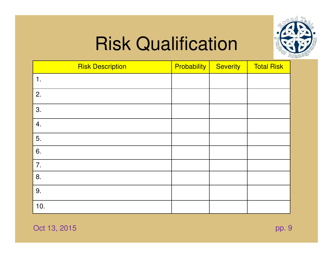

| <b>Risk Description</b> | <b>Probability</b> | <b>Severity</b> | <b>Total Risk</b> |
|-------------------------|--------------------|-----------------|-------------------|
| 1.                      |                    |                 |                   |
| 2.                      |                    |                 |                   |
| 3.                      |                    |                 |                   |
| 4.                      |                    |                 |                   |
| 5.                      |                    |                 |                   |
| 6.                      |                    |                 |                   |
| 7.                      |                    |                 |                   |
| 8.                      |                    |                 |                   |
| 9.                      |                    |                 |                   |
| 10.                     |                    |                 |                   |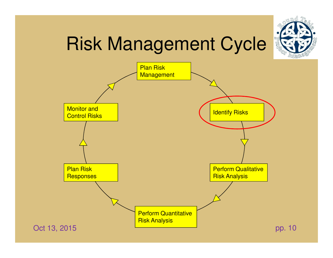



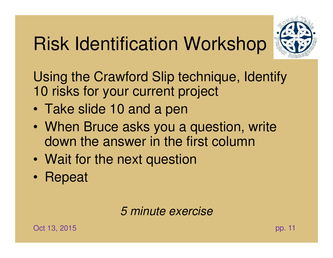# Risk Identification Workshop



Using the Crawford Slip technique, Identify 10 risks for your current project

- •Take slide 10 and a pen
- $\bullet$ When Bruce asks you a question, write down the answer in the first column
- $\bullet$ Wait for the next question
- •Repeat

5 minute exercise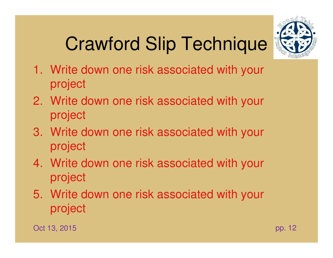# Crawford Slip Technique



- 1. Write down one risk associated with your project
- 2. Write down one risk associated with your project
- 3. Write down one risk associated with your project
- 4. Write down one risk associated with your project
- 5. Write down one risk associated with your project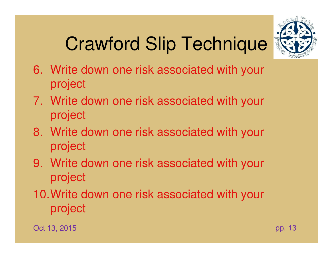# Crawford Slip Technique



- 6. Write down one risk associated with your project
- 7. Write down one risk associated with your project
- 8. Write down one risk associated with your project
- 9. Write down one risk associated with your project
- 10.Write down one risk associated with your project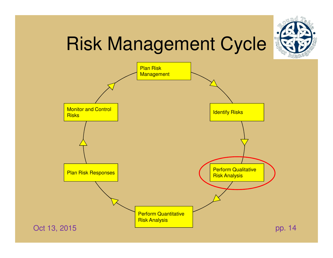



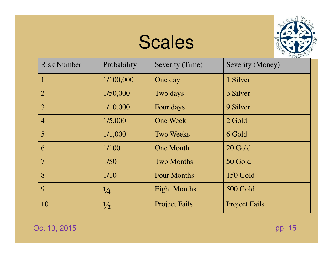#### Scales



| <b>Risk Number</b> | Probability   | Severity (Time)      | Severity (Money)     |
|--------------------|---------------|----------------------|----------------------|
|                    | 1/100,000     | One day              | 1 Silver             |
| $\overline{2}$     | 1/50,000      | Two days             | 3 Silver             |
| 3                  | 1/10,000      | Four days            | 9 Silver             |
| $\overline{4}$     | 1/5,000       | <b>One Week</b>      | 2 Gold               |
| $\overline{5}$     | 1/1,000       | <b>Two Weeks</b>     | 6 Gold               |
| 6                  | 1/100         | <b>One Month</b>     | 20 Gold              |
| $7\phantom{.0}$    | 1/50          | <b>Two Months</b>    | 50 Gold              |
| 8                  | 1/10          | <b>Four Months</b>   | 150 Gold             |
| 9                  | $\frac{1}{4}$ | <b>Eight Months</b>  | 500 Gold             |
| 10                 | $\frac{1}{2}$ | <b>Project Fails</b> | <b>Project Fails</b> |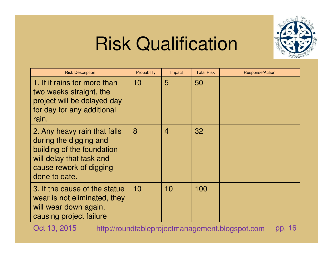

| <b>Risk Description</b>                                                                                                                                      | Probability | Impact         | <b>Total Risk</b> | <b>Response/Action</b> |
|--------------------------------------------------------------------------------------------------------------------------------------------------------------|-------------|----------------|-------------------|------------------------|
| 1. If it rains for more than<br>two weeks straight, the<br>project will be delayed day<br>for day for any additional<br>rain.                                | 10          | 5              | 50                |                        |
| 2. Any heavy rain that falls<br>during the digging and<br>building of the foundation<br>will delay that task and<br>cause rework of digging<br>done to date. | 8           | $\overline{4}$ | 32                |                        |
| 3. If the cause of the statue<br>wear is not eliminated, they<br>will wear down again,<br>causing project failure                                            | 10          | 10             | 100               |                        |

Oct 13, 20155 http://roundtableprojectmanagement.blogspot.com pp. 16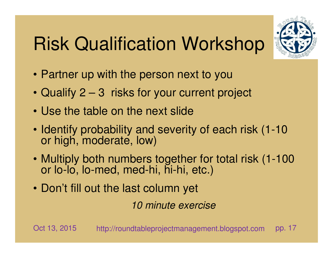# Risk Qualification Workshop



- Partner up with the person next to you
- Qualify 2 3 risks for your current project
- Use the table on the next slide
- Identify probability and severity of each risk (1-10 or high, moderate, low)
- Multiply both numbers together for total risk (1-100 or lo-lo, lo-med, med-hi, hi-hi, etc.)
- Don't fill out the last column yet

10 minute exercise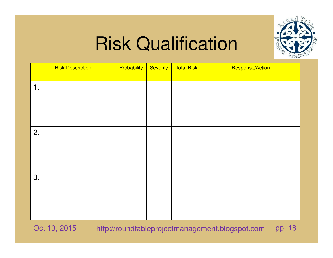

| <b>Risk Description</b> | <b>Probability</b> | Severity | <b>Total Risk</b> | Response/Action |
|-------------------------|--------------------|----------|-------------------|-----------------|
| 1.                      |                    |          |                   |                 |
|                         |                    |          |                   |                 |
|                         |                    |          |                   |                 |
| 2.                      |                    |          |                   |                 |
|                         |                    |          |                   |                 |
|                         |                    |          |                   |                 |
| 3.                      |                    |          |                   |                 |
|                         |                    |          |                   |                 |
|                         |                    |          |                   |                 |
|                         |                    |          |                   |                 |

Oct 13, 20155 http://roundtableprojectmanagement.blogspot.com pp. 18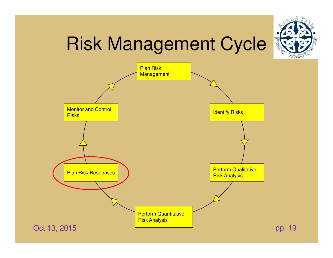



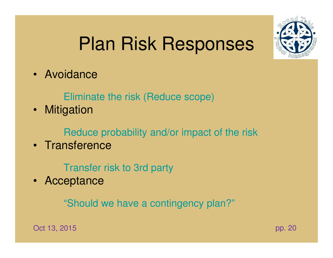#### Plan Risk Responses

• Avoidance

Eliminate the risk (Reduce scope)

• Mitigation

Reduce probability and/or impact of the risk

• Transference

Transfer risk to 3rd party

• Acceptance

"Should we have a contingency plan?"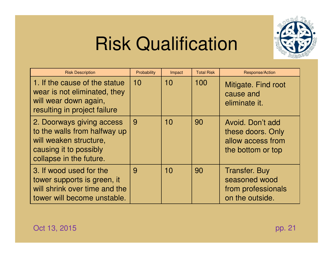

| <b>Risk Description</b>                                                                                                                  | Probability | Impact | <b>Total Risk</b> | Response/Action                                                                 |
|------------------------------------------------------------------------------------------------------------------------------------------|-------------|--------|-------------------|---------------------------------------------------------------------------------|
| 1. If the cause of the statue<br>wear is not eliminated, they<br>will wear down again,<br>resulting in project failure                   | 10          | 10     | 100               | Mitigate. Find root<br>cause and<br>eliminate it.                               |
| 2. Doorways giving access<br>to the walls from halfway up<br>will weaken structure.<br>causing it to possibly<br>collapse in the future. | 9           | 10     | 90                | Avoid, Don't add<br>these doors. Only<br>allow access from<br>the bottom or top |
| 3. If wood used for the<br>tower supports is green, it<br>will shrink over time and the<br>tower will become unstable.                   | 9           | 10     | 90                | <b>Transfer. Buy</b><br>seasoned wood<br>from professionals<br>on the outside.  |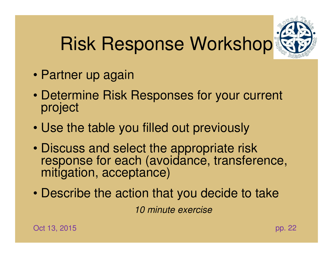# Risk Response Workshop



- Partner up again
- Determine Risk Responses for your current project
- Use the table you filled out previously
- Discuss and select the appropriate risk response for each (avoidance, transference, mitigation, acceptance)
- Describe the action that you decide to take10 minute exercise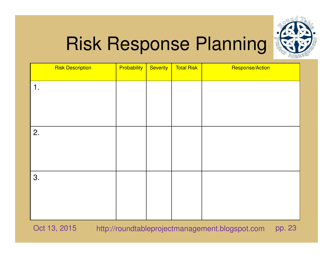

# Risk Response Planning

| Probability | Severity | <b>Total Risk</b> | Response/Action |
|-------------|----------|-------------------|-----------------|
|             |          |                   |                 |
|             |          |                   |                 |
|             |          |                   |                 |
|             |          |                   |                 |
|             |          |                   |                 |
|             |          |                   |                 |
|             |          |                   |                 |
|             |          |                   |                 |
|             |          |                   |                 |
|             |          |                   |                 |

Oct 13, 20155 http://roundtableprojectmanagement.blogspot.com pp. 23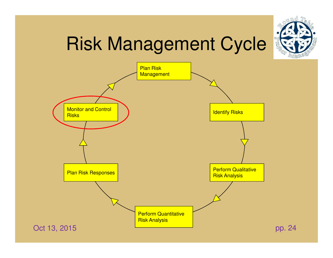



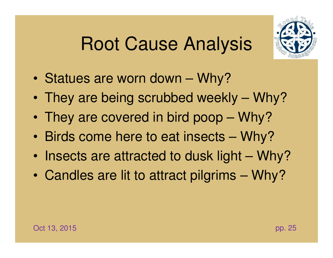#### Root Cause Analysis



- $\bullet$ Statues are worn down – Why?
- $\bullet$ They are being scrubbed weekly – Why?
- $\bullet$ They are covered in bird poop – Why?
- •Birds come here to eat insects – Why?
- •Insects are attracted to dusk light – Why?
- •Candles are lit to attract pilgrims – Why?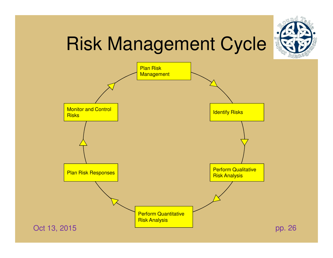